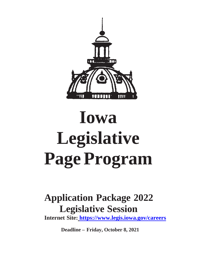

# **Iowa Legislative PageProgram**

## **Application Package 2022 Legislative Session**

**Internet Site: <https://www.legis.iowa.gov/careers>**

**Deadline – Friday, October 8, 2021**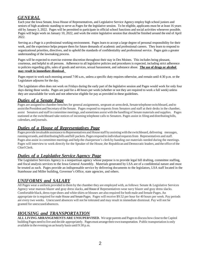## *GENERAL*

Each year the Iowa Senate, Iowa House of Representatives, and Legislative Service Agency employ high school juniors and seniors of high academic standing to serve as Pages for the legislative session. To be eligible, applicants must be at least 16 years old by January 3, 2022. Pages will be permitted to participate in official school functions and social activities whenever possible. Pages will begin work on January 10, 2022, and work the entire legislative session that should be finished around the end of April 2022.

Serving as a Page is a professional working environment. Pages learn to accept a large degree of personal responsibility for their work, and the experience helps prepare them for future demands of academic and professional careers. They learn to respond to organizational priorities, directives, and to uphold the standards of confidentiality and professional service. Pages gain a greater understanding of the lawmaking process.

Pages will be expected to exercise extreme discretion throughout their stay in Des Moines. This includes being pleasant, courteous, and helpful to all persons. Adherence to all legislative policies and procedures is expected, including strict adherence to policies regarding gifts, sales of goods and services, sexual harassment, and substance abuse. **The use of drugs or alcohol may result in immediate dismissal.** 

Pages report to work each morning around 7:00 a.m., unless a specific duty requires otherwise, and remain until 4:30 p.m. or the Legislature adjourns for the day.

The Legislature often does not work on Fridays during the early part of the legislative session and Pages would work for only four days during those weeks. Pages are paid for a 40 hours per week (whether or not they are required to work a full week) unless they are unavailable for work and not otherwise eligible for pay as provided in these guidelines.

## *Duties of a Senate Page*

Pages are assigned to chamber benches for general assignments, sergeant-at-arms desk, Senate telephone switchboard, and to assistthePresident and SecretaryoftheSenate. Pages respond to requests from Senators and staff at their desks in the chamber, assist Senators and staffin committee meetings, and sometimes assist with the handling of Senate materials and supplies. Pages stationed at the switchboard take notices of incoming telephone calls to Senators. Pages assist in filing and distributingbills, calendars, and journals.

## *Duties of a House of Representatives Page*

Pages provide invaluable assistance to Representatives and House staff by assisting with the switchboard, delivering messages, running errands, and distributing bills and bill packets. Pages respond to individual requests from Representatives and staff. Pages also assist in committee meetings and help the chairperson's clerk by handing out materials needed during the meetings. Pages will interview to work directly for the Speaker of the House, the Republican and Democratic leaders, and the office of the ChiefClerk.

## *Duties of a Legislative Service Agency Page*

The Legislative Services Agency is a nonpartisan agency whose purpose is to provide legal bill drafting, committee staffing, and fiscal analysis services to the Iowa General Assembly. Materials generated by LSA are of a confidential nature and must be treated as such. Pages provide an indispensable service by delivering documents to the legislators, LSA staff located in the Statehouse and Miller building, Governor's Office, state agencies, and others.

## *UNIFORMS and SALARY*

All Pages wear a uniform provided to them by the chamber they are employed with, as follows: Senate  $&$  Legislative Services Agency wear maroon blazer and gray dress slacks, and House of Representatives wear navy blazer and gray dress slacks. Comfortable black, dress-type shoes and white shirts or blouses are also required for both male and female Pages.An appropriate tie isrequired for male House andSenatePages. Pages will receive \$9.52 per hour for 40 hours per week. Pay periods are every two weeks. Unexcused absences will not be tolerated and may result in immediate dismissal. Pay will not be granted for unexcusedabsences.

## *HOUSING and TRANSPORTATION*

**ALL LIVING ARRANGEMENTS ARE UNSUPERVISED.** We urge parents and Pagesto discuss howclose to theCapitol building Pages need to live and decide appropriately. Pagesmust arrangetheir own transportation. Public transportation is only available in the evening on an hourly basis until 9:30 p.m.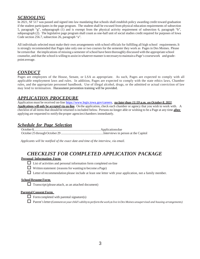## *SCHOOLING*

In 2021, SF 517 was passed and signed into law mandating that schools shall establish policy awarding credit toward graduation if the student participates in the page program. The student shall be excused from physical education requirements of subsection 5, paragraph "g", subparagraph (1) and is exempt from the physical activity requirement of subsection 6, paragraph "b", subparagraph (2). The legislative page program shall count as one-half unit of social studies credit required for purposes of Iowa Code section 256.7, subsection 26, paragraph "a".

All individuals selected must make their own arrangements with school officials for fulfilling all high school requirements.It is strongly recommended that Pages take only one or two courses for the semester they work as Pages in Des Moines. Please be certain that the implications of missing a semester ofschool have been thoroughly discussed with the appropriate school counselor, and that the school is willing to assist in whatevermanneris necessaryto maintain a Page's coursework and gradepoint average.

## *CONDUCT*

Pages are employees of the House, Senate, or LSA as appropriate. As such, Pages are expected to comply with all applicable employment laws and rules. In addition, Pages are expected to comply with the state ethics laws, Chamber rules, and the appropriate personnel handbook. Use of illegal alcohol, drugs, or the admitted or actual conviction of law may lend to termination. Harassment prevention training will be provided.

## *APPLICATION PROCEDURE*

Application must be received on-line [https://www.legis.iowa.gov/careers,](https://www.legis.iowa.gov/careers) *no laterthan 11:59 p.m. on October 8, 2021*. **Applications will only be accepted via on-line.** On the application, check each chamber or agency that you wish to work with. A checklist of all itemsthatshould be returned isincluded below. Persons no longer able or wishing to be a Page at any time **after** applying are requested to notifythe proper agencies/chambers immediately.

## *Schedule for Page Selection*

*Applicants will be notified of the exact date and time of the interview, via email.* 

## *CHECKLIST FOR COMPLETED APPLICATION PACKAGE*

#### **Personal Information Form**

- $\Box$  List of activities and personal information form completed on-line
- $\Box$  Written statement (reasons for wanting to become a Page)
- $\Box$  Letter of recommendation please include at least one letter with your application, not a family member.

#### **School Resume Form**

 $\Box$  Transcript (please attach, as an attached document)

#### **Parental Consent Form**

- $\Box$  Form completed with parental signature(s)
- Parent'sletter*(Commenton yourchild's abilityto perform thework, to live in Des Moines unsupervised and housing arrangements)*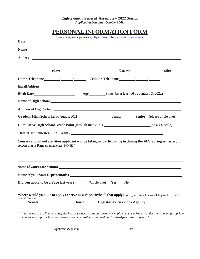#### **Eighty-ninth General Assembly – 2022 Session** *ApplicationDeadline - October 8,2021*

|                                                                                                                                                              | PERSONAL INFORMATION FORM |                                                                       |  |                                   |  |
|--------------------------------------------------------------------------------------------------------------------------------------------------------------|---------------------------|-----------------------------------------------------------------------|--|-----------------------------------|--|
|                                                                                                                                                              |                           | (APPLICANT, please apply on-line, https://www.legis.iowa.gov/careers) |  |                                   |  |
|                                                                                                                                                              |                           |                                                                       |  |                                   |  |
|                                                                                                                                                              |                           |                                                                       |  |                                   |  |
|                                                                                                                                                              |                           |                                                                       |  |                                   |  |
| (City)                                                                                                                                                       |                           | (County)                                                              |  | (Zip)                             |  |
| Home Telephone / / / Cellular Telephone / / / /                                                                                                              |                           |                                                                       |  |                                   |  |
|                                                                                                                                                              |                           |                                                                       |  |                                   |  |
|                                                                                                                                                              |                           |                                                                       |  |                                   |  |
| Name of High School Louis Communication and the Communication of High School                                                                                 |                           |                                                                       |  |                                   |  |
|                                                                                                                                                              |                           |                                                                       |  |                                   |  |
| Grade in High School (as of August 2021)                                                                                                                     |                           | <b>Junior</b>                                                         |  | <b>Senior</b> (please circle one) |  |
|                                                                                                                                                              |                           |                                                                       |  |                                   |  |
| Date of 1st Semester Final Exams                                                                                                                             |                           |                                                                       |  |                                   |  |
| Courses and school activities applicant will be taking or participating in during the 2022 Spring semester, if<br>selected as a Page (if none, enter "NONE") |                           |                                                                       |  |                                   |  |
|                                                                                                                                                              |                           |                                                                       |  |                                   |  |
| <b>Name of your State Representative</b>                                                                                                                     |                           |                                                                       |  |                                   |  |
| Did you apply to be a Page last year?                                                                                                                        |                           | (Circle one)<br>Yes<br>N <sub>0</sub>                                 |  |                                   |  |
| <b>Where would you like to apply to serve as a Page, circle all that apply?</b> A copy of this application will be provided to each                          |                           |                                                                       |  |                                   |  |
| selected Chamber.                                                                                                                                            |                           |                                                                       |  |                                   |  |

"I agree not to use illegal drugs, alcohol, or tobacco products during my employment as a Page. I understand that inappropriate *behavioronmy partwhile serving as aPagemay result inmy immediate dismissalfrom the program."*

Applicant's Signature Date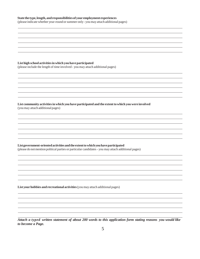#### **State the type,length,andresponsibilitiesofyour employment experiences**

(please indicate whether year-round orsummer only- youmay attach additional pages)

#### **List high school activitiesinwhich you have participated**

(please include the length of time involved - you may attach additional pages)

**List community activitiesinwhich you have participated and the extenttowhich you were involved** (youmay attach additionalpages)

#### **Listgovernment-orientedactivitiesandthe extenttowhichyouhaveparticipated**

(please do not mention political parties or particular candidates - you may attach additional pages)

**List yourhobbies and recreational activities**(youmay attach additional pages)

Attach a typed written statement of about 200 words to this application form stating reasons you would like *to become a Page.*